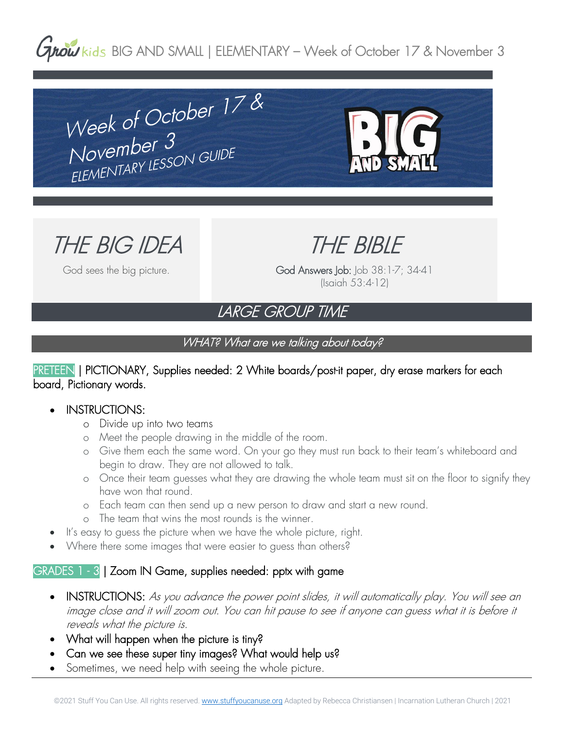# **Grow** kids BIG AND SMALL | ELEMENTARY – Week of October 17 & November 3

Week of October  $178$ Week of Octoper<br>November 3<br>ELEMENTARY LESSON GUIDE



THE BIG IDEA

God sees the big picture.

THE BIBLE

God Answers Job: Job 38:1-7; 34-41 (Isaiah 53:4-12)

# LARGE GROUP TIME

## WHAT? What are we talking about today?

#### PRETEEN | PICTIONARY, Supplies needed: 2 White boards/post-it paper, dry erase markers for each board, Pictionary words.

#### • INSTRUCTIONS:

- o Divide up into two teams
- o Meet the people drawing in the middle of the room.
- o Give them each the same word. On your go they must run back to their team's whiteboard and begin to draw. They are not allowed to talk.
- o Once their team guesses what they are drawing the whole team must sit on the floor to signify they have won that round.
- o Each team can then send up a new person to draw and start a new round.
- o The team that wins the most rounds is the winner.
- It's easy to guess the picture when we have the whole picture, right.
- Where there some images that were easier to guess than others?

# GRADES 1 - 3 | Zoom IN Game, supplies needed: pptx with game

- INSTRUCTIONS: As you advance the power point slides, it will automatically play. You will see an image close and it will zoom out. You can hit pause to see if anyone can guess what it is before it reveals what the picture is.
- What will happen when the picture is tiny?
- Can we see these super tiny images? What would help us?
- Sometimes, we need help with seeing the whole picture.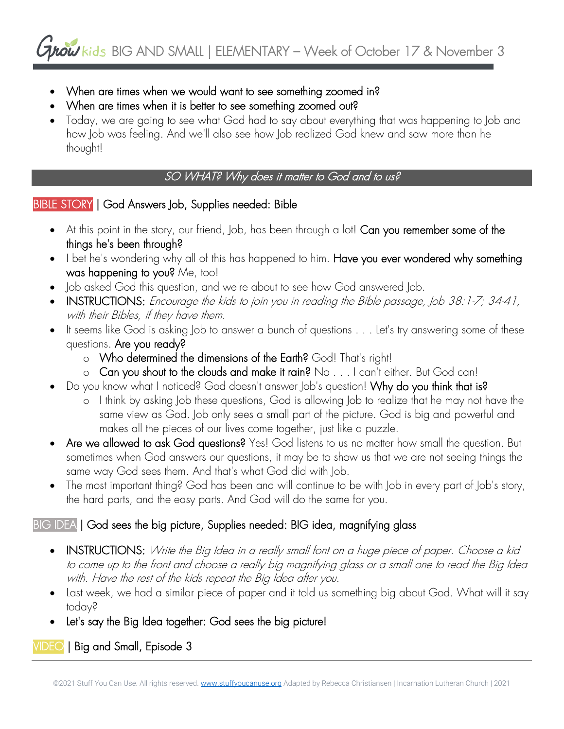- When are times when we would want to see something zoomed in?
- When are times when it is better to see something zoomed out?
- Today, we are going to see what God had to say about everything that was happening to Job and how Job was feeling. And we'll also see how Job realized God knew and saw more than he thought!

# SO WHAT? Why does it matter to God and to us?

## BIBLE STORY | God Answers Job, Supplies needed: Bible

- At this point in the story, our friend, Job, has been through a lot! Can you remember some of the things he's been through?
- I bet he's wondering why all of this has happened to him. Have you ever wondered why something was happening to you? Me, too!
- Job asked God this question, and we're about to see how God answered Job.
- INSTRUCTIONS: Encourage the kids to join you in reading the Bible passage, Job 38:1-7; 34-41, with their Bibles, if they have them.
- It seems like God is asking Job to answer a bunch of questions . . . Let's try answering some of these questions. Are you ready?
	- o Who determined the dimensions of the Earth? God! That's right!
	- o Can you shout to the clouds and make it rain? No . . . I can't either. But God can!
- Do you know what I noticed? God doesn't answer Job's question! Why do you think that is?
	- o I think by asking Job these questions, God is allowing Job to realize that he may not have the same view as God. Job only sees a small part of the picture. God is big and powerful and makes all the pieces of our lives come together, just like a puzzle.
- Are we allowed to ask God questions? Yes! God listens to us no matter how small the question. But sometimes when God answers our questions, it may be to show us that we are not seeing things the same way God sees them. And that's what God did with Job.
- The most important thing? God has been and will continue to be with Job in every part of Job's story, the hard parts, and the easy parts. And God will do the same for you.

# BIG IDEA | God sees the big picture, Supplies needed: BIG idea, magnifying glass

- INSTRUCTIONS: Write the Big Idea in a really small font on a huge piece of paper. Choose a kid to come up to the front and choose a really big magnifying glass or a small one to read the Big Idea with. Have the rest of the kids repeat the Big Idea after you.
- Last week, we had a similar piece of paper and it told us something big about God. What will it say today?
- Let's say the Big Idea together: God sees the big picture!

VIDEO | Big and Small, Episode 3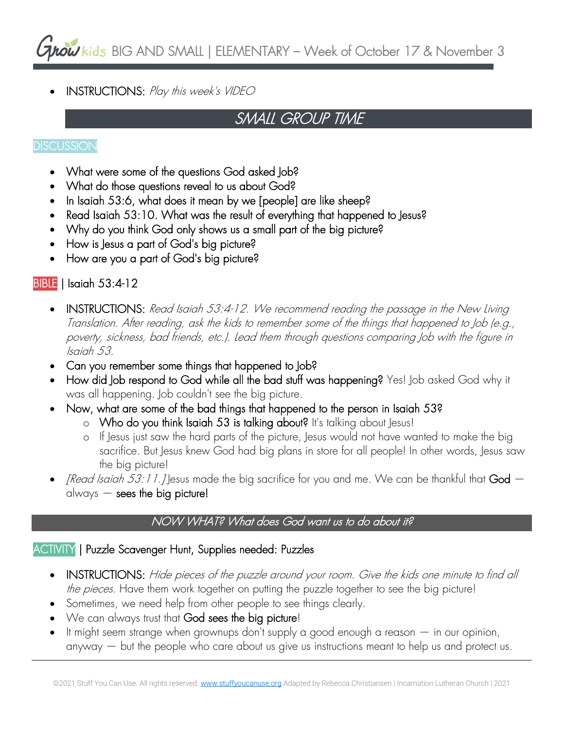$\frac{1}{2}$  kids BIG AND SMALL | ELEMENTARY – Week of October 17 & November 3

• INSTRUCTIONS: Play this week's VIDEO

# SMALL GROUP TIME

#### **DISCUSSION**

- What were some of the questions God asked Job?
- What do those questions reveal to us about God?
- In Isaiah 53:6, what does it mean by we [people] are like sheep?
- Read Isaiah 53:10. What was the result of everything that happened to Jesus?
- Why do you think God only shows us a small part of the big picture?
- How is Jesus a part of God's big picture?
- How are you a part of God's big picture?

## BIBLE | Isaiah 53:4-12

- INSTRUCTIONS: Read Isaiah 53:4-12. We recommend reading the passage in the New Living Translation. After reading, ask the kids to remember some of the things that happened to Job (e.g., poverty, sickness, bad friends, etc.). Lead them through questions comparing Job with the figure in Isaiah 53.
- Can you remember some things that happened to Job?
- How did Job respond to God while all the bad stuff was happening? Yes! Job asked God why it was all happening. Job couldn't see the big picture.
- Now, what are some of the bad things that happened to the person in Isaiah 53?
	- o Who do you think Isaiah 53 is talking about? It's talking about Jesus!
	- o If Jesus just saw the hard parts of the picture, Jesus would not have wanted to make the big sacrifice. But Jesus knew God had big plans in store for all people! In other words, Jesus saw the big picture!
- *[Read Isaiah 53:11.]* Jesus made the big sacrifice for you and me. We can be thankful that  $God$ always  $-$  sees the big picture!

#### NOW WHAT? What does God want us to do about it?

#### ACTIVITY | Puzzle Scavenger Hunt, Supplies needed: Puzzles

- INSTRUCTIONS: Hide pieces of the puzzle around your room. Give the kids one minute to find all the pieces. Have them work together on putting the puzzle together to see the big picture!
- Sometimes, we need help from other people to see things clearly.
- We can always trust that God sees the big picture!
- It might seem strange when grownups don't supply a good enough a reason  $-$  in our opinion, anyway — but the people who care about us give us instructions meant to help us and protect us.